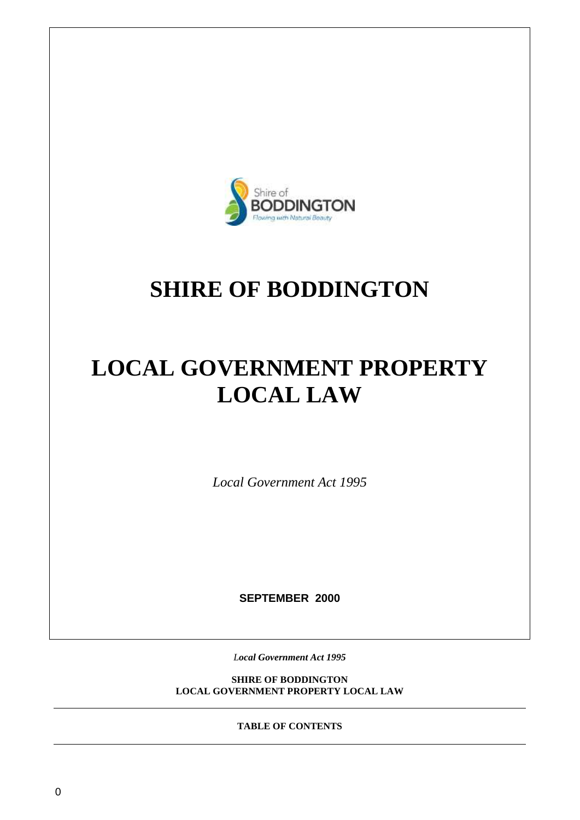

# **SHIRE OF BODDINGTON**

# **LOCAL GOVERNMENT PROPERTY LOCAL LAW**

*Local Government Act 1995*

**SEPTEMBER 2000**

*Local Government Act 1995*

**SHIRE OF BODDINGTON LOCAL GOVERNMENT PROPERTY LOCAL LAW**

**TABLE OF CONTENTS**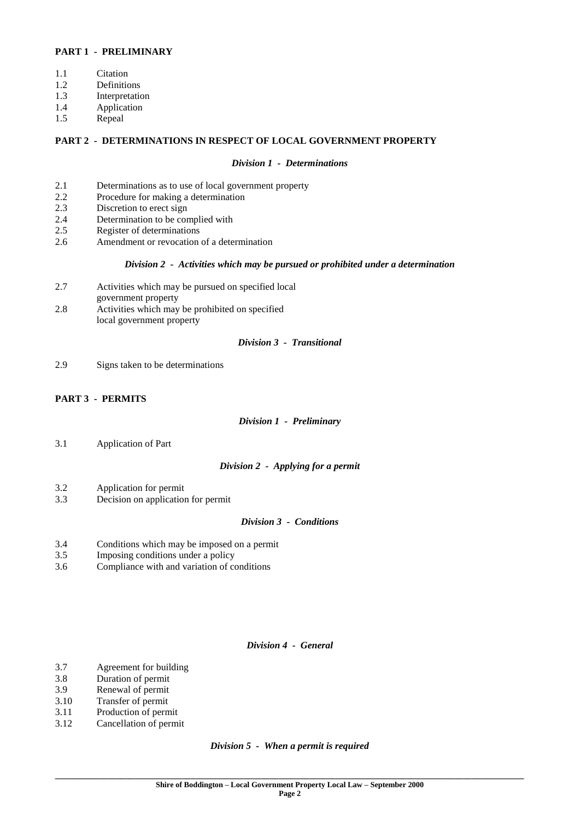## **PART 1 - PRELIMINARY**

- 1.1 Citation
- 1.2 Definitions
- 1.3 Interpretation
- 1.4 Application
- 1.5 Repeal

## **PART 2 - DETERMINATIONS IN RESPECT OF LOCAL GOVERNMENT PROPERTY**

#### *Division 1 - Determinations*

- 2.1 Determinations as to use of local government property
- 2.2 Procedure for making a determination<br>2.3 Discretion to erect sign
- Discretion to erect sign
- 2.4 Determination to be complied with
- 2.5 Register of determinations
- 2.6 Amendment or revocation of a determination

#### *Division 2 - Activities which may be pursued or prohibited under a determination*

- 2.7 Activities which may be pursued on specified local
	- government property
- 2.8 Activities which may be prohibited on specified local government property

## *Division 3 - Transitional*

2.9 Signs taken to be determinations

## **PART 3 - PERMITS**

## *Division 1 - Preliminary*

3.1 Application of Part

## *Division 2 - Applying for a permit*

- 3.2 Application for permit
- 3.3 Decision on application for permit

## *Division 3 - Conditions*

- 3.4 Conditions which may be imposed on a permit
- 3.5 Imposing conditions under a policy
- 3.6 Compliance with and variation of conditions

## *Division 4 - General*

- 3.7 Agreement for building
- 3.8 Duration of permit
- 3.9 Renewal of permit
- 3.10 Transfer of permit
- 3.11 Production of permit
- 3.12 Cancellation of permit

*Division 5 - When a permit is required*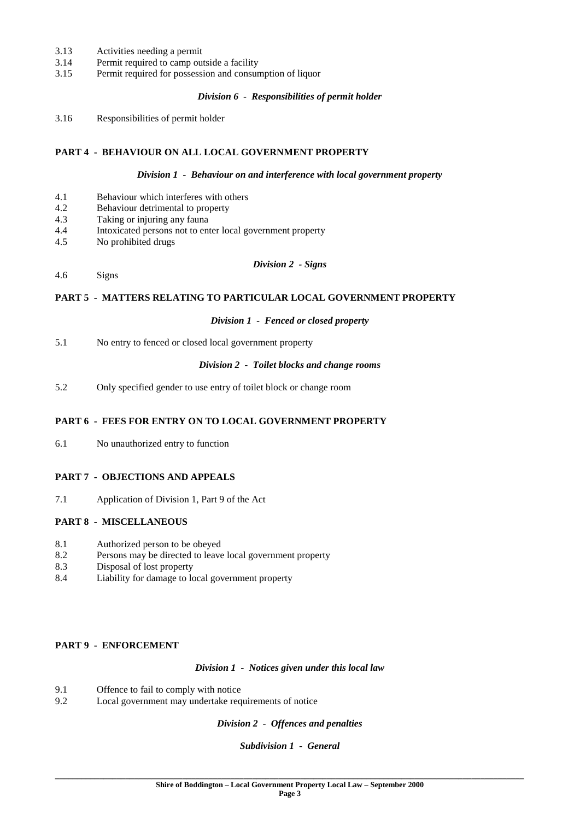- 3.13 Activities needing a permit
- 3.14 Permit required to camp outside a facility
- 3.15 Permit required for possession and consumption of liquor

### *Division 6 - Responsibilities of permit holder*

3.16 Responsibilities of permit holder

## **PART 4 - BEHAVIOUR ON ALL LOCAL GOVERNMENT PROPERTY**

#### *Division 1 - Behaviour on and interference with local government property*

- 4.1 Behaviour which interferes with others<br>4.2 Behaviour detrimental to property
- Behaviour detrimental to property
- 4.3 Taking or injuring any fauna
- 4.4 Intoxicated persons not to enter local government property
- 4.5 No prohibited drugs

#### *Division 2 - Signs*

4.6 Signs

## **PART 5 - MATTERS RELATING TO PARTICULAR LOCAL GOVERNMENT PROPERTY**

#### *Division 1 - Fenced or closed property*

5.1 No entry to fenced or closed local government property

#### *Division 2 - Toilet blocks and change rooms*

5.2 Only specified gender to use entry of toilet block or change room

## **PART 6 - FEES FOR ENTRY ON TO LOCAL GOVERNMENT PROPERTY**

6.1 No unauthorized entry to function

## **PART 7 - OBJECTIONS AND APPEALS**

7.1 Application of Division 1, Part 9 of the Act

## **PART 8 - MISCELLANEOUS**

- 8.1 Authorized person to be obeyed
- 8.2 Persons may be directed to leave local government property
- 8.3 Disposal of lost property
- 8.4 Liability for damage to local government property

## **PART 9 - ENFORCEMENT**

*Division 1 - Notices given under this local law*

- 9.1 Offence to fail to comply with notice
- 9.2 Local government may undertake requirements of notice

*Division 2 - Offences and penalties*

## *Subdivision 1 - General*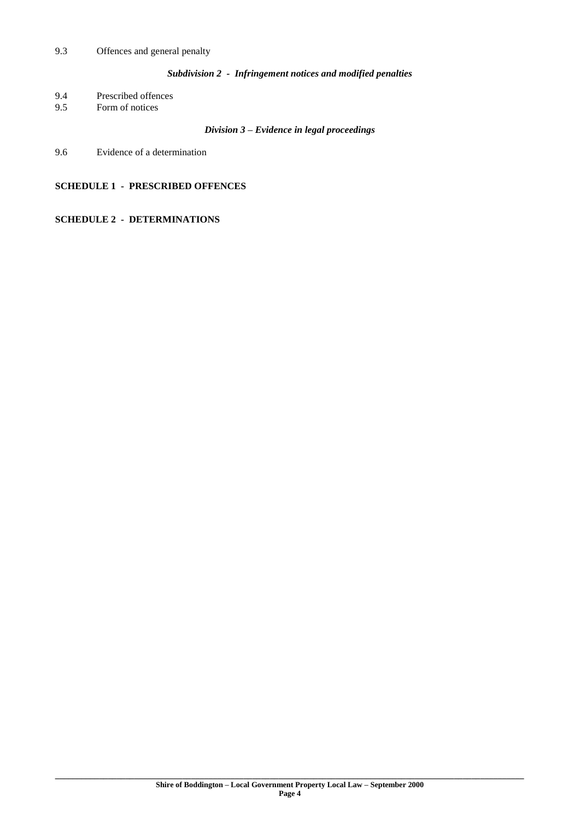## *Subdivision 2 - Infringement notices and modified penalties*

9.4 Prescribed offences<br>9.5 Form of notices

Form of notices

## *Division 3 – Evidence in legal proceedings*

9.6 Evidence of a determination

## **SCHEDULE 1 - PRESCRIBED OFFENCES**

## **SCHEDULE 2 - DETERMINATIONS**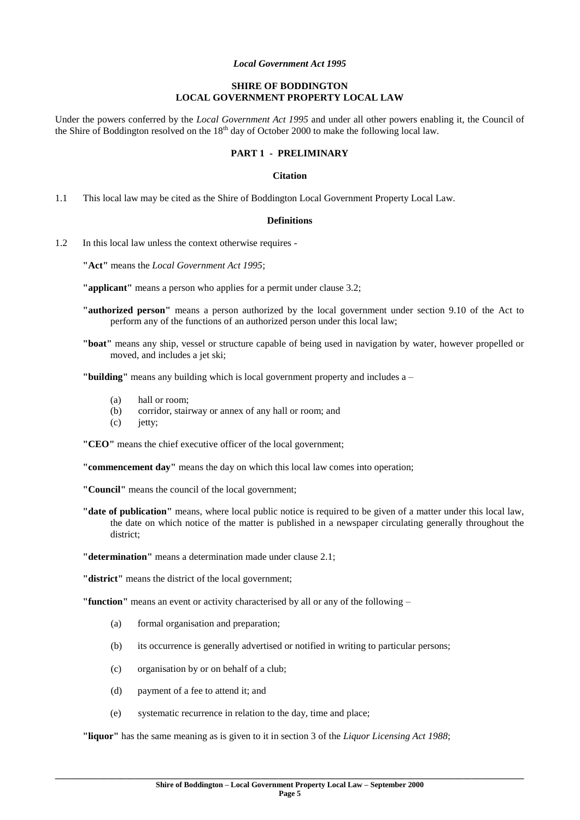#### *Local Government Act 1995*

## **SHIRE OF BODDINGTON LOCAL GOVERNMENT PROPERTY LOCAL LAW**

Under the powers conferred by the *Local Government Act 1995* and under all other powers enabling it, the Council of the Shire of Boddington resolved on the  $18<sup>th</sup>$  day of October 2000 to make the following local law.

## **PART 1 - PRELIMINARY**

#### **Citation**

1.1 This local law may be cited as the Shire of Boddington Local Government Property Local Law.

#### **Definitions**

1.2 In this local law unless the context otherwise requires -

**"Act"** means the *Local Government Act 1995*;

**"applicant"** means a person who applies for a permit under clause 3.2;

- **"authorized person"** means a person authorized by the local government under section 9.10 of the Act to perform any of the functions of an authorized person under this local law;
- **"boat"** means any ship, vessel or structure capable of being used in navigation by water, however propelled or moved, and includes a jet ski;

**"building"** means any building which is local government property and includes a –

- (a) hall or room;
- (b) corridor, stairway or annex of any hall or room; and
- (c) jetty;

**"CEO"** means the chief executive officer of the local government;

**"commencement day"** means the day on which this local law comes into operation;

**"Council"** means the council of the local government;

- **"date of publication"** means, where local public notice is required to be given of a matter under this local law, the date on which notice of the matter is published in a newspaper circulating generally throughout the district;
- **"determination"** means a determination made under clause 2.1;

**"district"** means the district of the local government;

**"function"** means an event or activity characterised by all or any of the following –

- (a) formal organisation and preparation;
- (b) its occurrence is generally advertised or notified in writing to particular persons;
- (c) organisation by or on behalf of a club;
- (d) payment of a fee to attend it; and
- (e) systematic recurrence in relation to the day, time and place;

**"liquor"** has the same meaning as is given to it in section 3 of the *Liquor Licensing Act 1988*;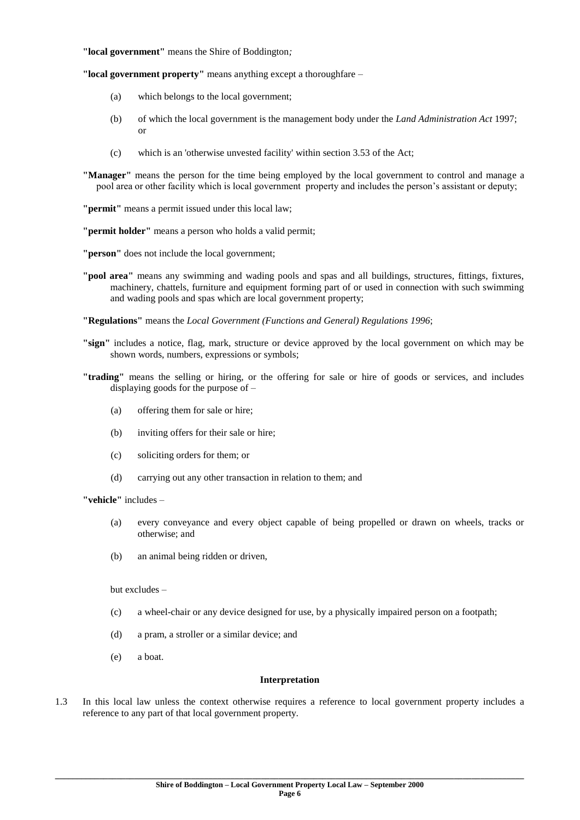#### **"local government"** means the Shire of Boddington*;*

**"local government property"** means anything except a thoroughfare –

- (a) which belongs to the local government;
- (b) of which the local government is the management body under the *Land Administration Act* 1997; or
- (c) which is an 'otherwise unvested facility' within section 3.53 of the Act;

**"Manager"** means the person for the time being employed by the local government to control and manage a pool area or other facility which is local government property and includes the person's assistant or deputy;

**"permit"** means a permit issued under this local law;

**"permit holder"** means a person who holds a valid permit;

**"person"** does not include the local government;

**"pool area"** means any swimming and wading pools and spas and all buildings, structures, fittings, fixtures, machinery, chattels, furniture and equipment forming part of or used in connection with such swimming and wading pools and spas which are local government property;

**"Regulations"** means the *Local Government (Functions and General) Regulations 1996*;

- **"sign"** includes a notice, flag, mark, structure or device approved by the local government on which may be shown words, numbers, expressions or symbols;
- **"trading"** means the selling or hiring, or the offering for sale or hire of goods or services, and includes displaying goods for the purpose of –
	- (a) offering them for sale or hire;
	- (b) inviting offers for their sale or hire;
	- (c) soliciting orders for them; or
	- (d) carrying out any other transaction in relation to them; and

**"vehicle"** includes –

- (a) every conveyance and every object capable of being propelled or drawn on wheels, tracks or otherwise; and
- (b) an animal being ridden or driven,

but excludes –

- (c) a wheel-chair or any device designed for use, by a physically impaired person on a footpath;
- (d) a pram, a stroller or a similar device; and
- (e) a boat.

#### **Interpretation**

1.3 In this local law unless the context otherwise requires a reference to local government property includes a reference to any part of that local government property.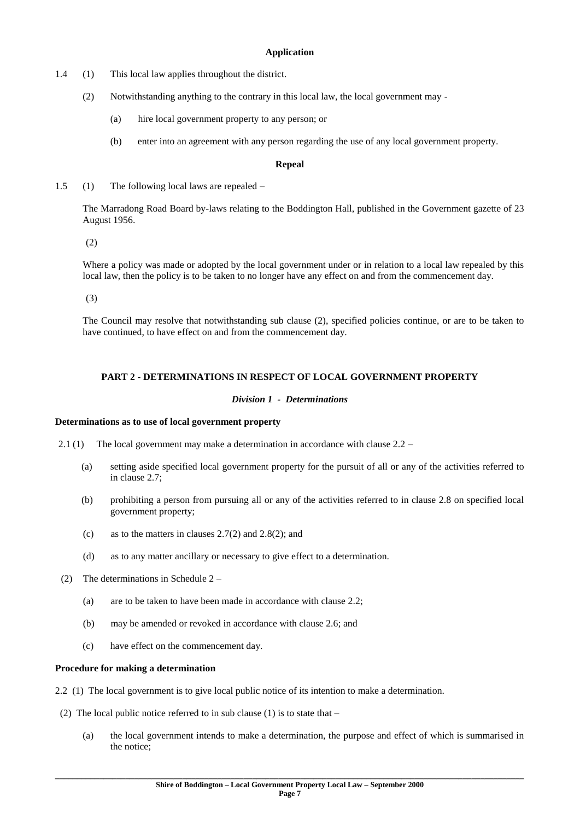## **Application**

- 1.4 (1) This local law applies throughout the district.
	- (2) Notwithstanding anything to the contrary in this local law, the local government may
		- (a) hire local government property to any person; or
		- (b) enter into an agreement with any person regarding the use of any local government property.

### **Repeal**

1.5 (1) The following local laws are repealed –

The Marradong Road Board by-laws relating to the Boddington Hall, published in the Government gazette of 23 August 1956.

(2)

Where a policy was made or adopted by the local government under or in relation to a local law repealed by this local law, then the policy is to be taken to no longer have any effect on and from the commencement day.

(3)

The Council may resolve that notwithstanding sub clause (2), specified policies continue, or are to be taken to have continued, to have effect on and from the commencement day.

## **PART 2 - DETERMINATIONS IN RESPECT OF LOCAL GOVERNMENT PROPERTY**

## *Division 1 - Determinations*

### **Determinations as to use of local government property**

2.1 (1) The local government may make a determination in accordance with clause 2.2 –

- (a) setting aside specified local government property for the pursuit of all or any of the activities referred to in clause 2.7;
- (b) prohibiting a person from pursuing all or any of the activities referred to in clause 2.8 on specified local government property;
- (c) as to the matters in clauses  $2.7(2)$  and  $2.8(2)$ ; and
- (d) as to any matter ancillary or necessary to give effect to a determination.
- (2) The determinations in Schedule 2
	- (a) are to be taken to have been made in accordance with clause 2.2;
	- (b) may be amended or revoked in accordance with clause 2.6; and
	- (c) have effect on the commencement day.

#### **Procedure for making a determination**

- 2.2 (1) The local government is to give local public notice of its intention to make a determination.
- (2) The local public notice referred to in sub clause  $(1)$  is to state that
	- (a) the local government intends to make a determination, the purpose and effect of which is summarised in the notice;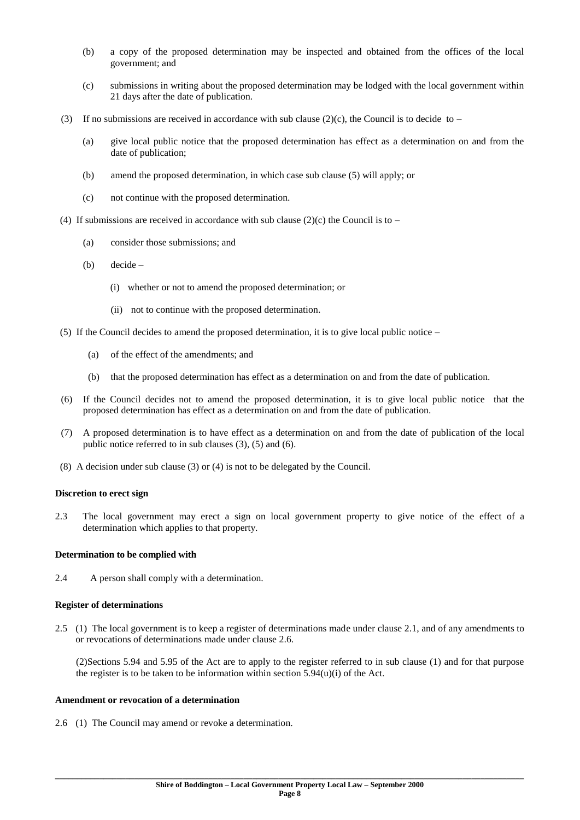- (b) a copy of the proposed determination may be inspected and obtained from the offices of the local government; and
- (c) submissions in writing about the proposed determination may be lodged with the local government within 21 days after the date of publication.
- (3) If no submissions are received in accordance with sub clause (2)(c), the Council is to decide to
	- (a) give local public notice that the proposed determination has effect as a determination on and from the date of publication;
	- (b) amend the proposed determination, in which case sub clause (5) will apply; or
	- (c) not continue with the proposed determination.
- (4) If submissions are received in accordance with sub clause (2)(c) the Council is to
	- (a) consider those submissions; and
	- (b) decide
		- (i) whether or not to amend the proposed determination; or
		- (ii) not to continue with the proposed determination.
- (5) If the Council decides to amend the proposed determination, it is to give local public notice
	- (a) of the effect of the amendments; and
	- (b) that the proposed determination has effect as a determination on and from the date of publication.
- (6) If the Council decides not to amend the proposed determination, it is to give local public notice that the proposed determination has effect as a determination on and from the date of publication.
- (7) A proposed determination is to have effect as a determination on and from the date of publication of the local public notice referred to in sub clauses (3), (5) and (6).
- (8) A decision under sub clause (3) or (4) is not to be delegated by the Council.

#### **Discretion to erect sign**

2.3 The local government may erect a sign on local government property to give notice of the effect of a determination which applies to that property.

#### **Determination to be complied with**

2.4 A person shall comply with a determination.

#### **Register of determinations**

2.5 (1) The local government is to keep a register of determinations made under clause 2.1, and of any amendments to or revocations of determinations made under clause 2.6.

(2)Sections 5.94 and 5.95 of the Act are to apply to the register referred to in sub clause (1) and for that purpose the register is to be taken to be information within section  $5.94(u)(i)$  of the Act.

## **Amendment or revocation of a determination**

2.6 (1) The Council may amend or revoke a determination.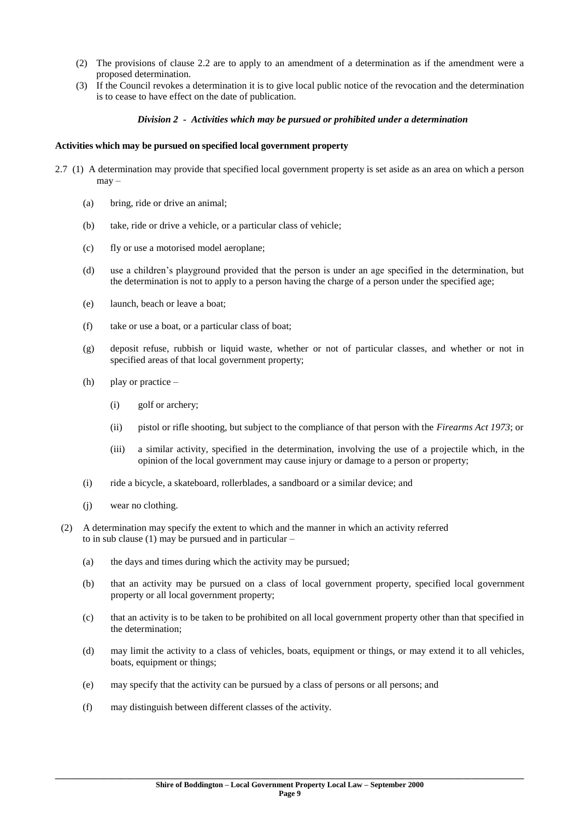- (2) The provisions of clause 2.2 are to apply to an amendment of a determination as if the amendment were a proposed determination.
- (3) If the Council revokes a determination it is to give local public notice of the revocation and the determination is to cease to have effect on the date of publication.

### *Division 2 - Activities which may be pursued or prohibited under a determination*

#### **Activities which may be pursued on specified local government property**

- 2.7 (1) A determination may provide that specified local government property is set aside as an area on which a person may –
	- (a) bring, ride or drive an animal;
	- (b) take, ride or drive a vehicle, or a particular class of vehicle;
	- (c) fly or use a motorised model aeroplane;
	- (d) use a children's playground provided that the person is under an age specified in the determination, but the determination is not to apply to a person having the charge of a person under the specified age;
	- (e) launch, beach or leave a boat;
	- (f) take or use a boat, or a particular class of boat;
	- (g) deposit refuse, rubbish or liquid waste, whether or not of particular classes, and whether or not in specified areas of that local government property;
	- (h) play or practice
		- (i) golf or archery;
		- (ii) pistol or rifle shooting, but subject to the compliance of that person with the *Firearms Act 1973*; or
		- (iii) a similar activity, specified in the determination, involving the use of a projectile which, in the opinion of the local government may cause injury or damage to a person or property;
	- (i) ride a bicycle, a skateboard, rollerblades, a sandboard or a similar device; and
	- (j) wear no clothing.
	- (2) A determination may specify the extent to which and the manner in which an activity referred to in sub clause (1) may be pursued and in particular –
		- (a) the days and times during which the activity may be pursued;
		- (b) that an activity may be pursued on a class of local government property, specified local government property or all local government property;
		- (c) that an activity is to be taken to be prohibited on all local government property other than that specified in the determination;
		- (d) may limit the activity to a class of vehicles, boats, equipment or things, or may extend it to all vehicles, boats, equipment or things;
		- (e) may specify that the activity can be pursued by a class of persons or all persons; and
		- (f) may distinguish between different classes of the activity.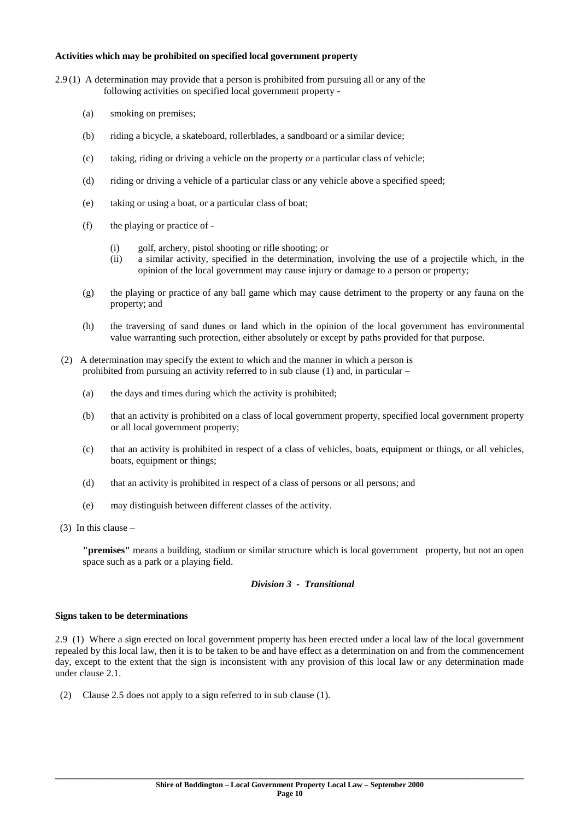#### **Activities which may be prohibited on specified local government property**

- 2.9 (1) A determination may provide that a person is prohibited from pursuing all or any of the following activities on specified local government property -
	- (a) smoking on premises;
	- (b) riding a bicycle, a skateboard, rollerblades, a sandboard or a similar device;
	- (c) taking, riding or driving a vehicle on the property or a particular class of vehicle;
	- (d) riding or driving a vehicle of a particular class or any vehicle above a specified speed;
	- (e) taking or using a boat, or a particular class of boat;
	- (f) the playing or practice of
		- (i) golf, archery, pistol shooting or rifle shooting; or
		- (ii) a similar activity, specified in the determination, involving the use of a projectile which, in the opinion of the local government may cause injury or damage to a person or property;
	- (g) the playing or practice of any ball game which may cause detriment to the property or any fauna on the property; and
	- (h) the traversing of sand dunes or land which in the opinion of the local government has environmental value warranting such protection, either absolutely or except by paths provided for that purpose.
	- (2) A determination may specify the extent to which and the manner in which a person is prohibited from pursuing an activity referred to in sub clause  $(1)$  and, in particular –
		- (a) the days and times during which the activity is prohibited;
		- (b) that an activity is prohibited on a class of local government property, specified local government property or all local government property;
		- (c) that an activity is prohibited in respect of a class of vehicles, boats, equipment or things, or all vehicles, boats, equipment or things;
		- (d) that an activity is prohibited in respect of a class of persons or all persons; and
		- (e) may distinguish between different classes of the activity.
- (3) In this clause –

**"premises"** means a building, stadium or similar structure which is local government property, but not an open space such as a park or a playing field.

## *Division 3 - Transitional*

#### **Signs taken to be determinations**

2.9 (1) Where a sign erected on local government property has been erected under a local law of the local government repealed by this local law, then it is to be taken to be and have effect as a determination on and from the commencement day, except to the extent that the sign is inconsistent with any provision of this local law or any determination made under clause 2.1.

(2) Clause 2.5 does not apply to a sign referred to in sub clause (1).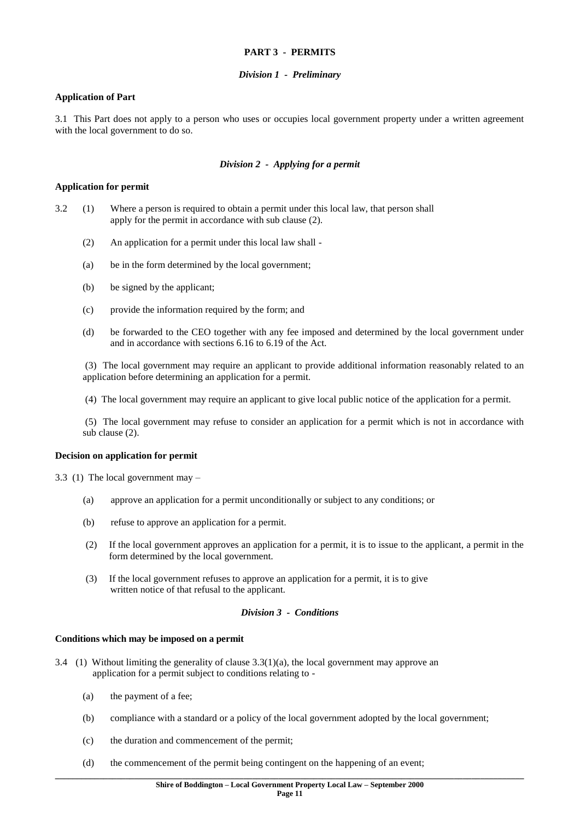#### **PART 3 - PERMITS**

#### *Division 1 - Preliminary*

### **Application of Part**

3.1 This Part does not apply to a person who uses or occupies local government property under a written agreement with the local government to do so.

## *Division 2 - Applying for a permit*

## **Application for permit**

- 3.2 (1) Where a person is required to obtain a permit under this local law, that person shall apply for the permit in accordance with sub clause (2).
	- (2) An application for a permit under this local law shall -
	- (a) be in the form determined by the local government;
	- (b) be signed by the applicant;
	- (c) provide the information required by the form; and
	- (d) be forwarded to the CEO together with any fee imposed and determined by the local government under and in accordance with sections 6.16 to 6.19 of the Act.

(3) The local government may require an applicant to provide additional information reasonably related to an application before determining an application for a permit.

(4) The local government may require an applicant to give local public notice of the application for a permit.

(5) The local government may refuse to consider an application for a permit which is not in accordance with sub clause (2).

#### **Decision on application for permit**

3.3 (1) The local government may –

- (a) approve an application for a permit unconditionally or subject to any conditions; or
- (b) refuse to approve an application for a permit.
- (2) If the local government approves an application for a permit, it is to issue to the applicant, a permit in the form determined by the local government.
- (3) If the local government refuses to approve an application for a permit, it is to give written notice of that refusal to the applicant.

### *Division 3 - Conditions*

#### **Conditions which may be imposed on a permit**

- 3.4 (1) Without limiting the generality of clause 3.3(1)(a), the local government may approve an application for a permit subject to conditions relating to -
	- (a) the payment of a fee;
	- (b) compliance with a standard or a policy of the local government adopted by the local government;
	- (c) the duration and commencement of the permit;
	- (d) the commencement of the permit being contingent on the happening of an event;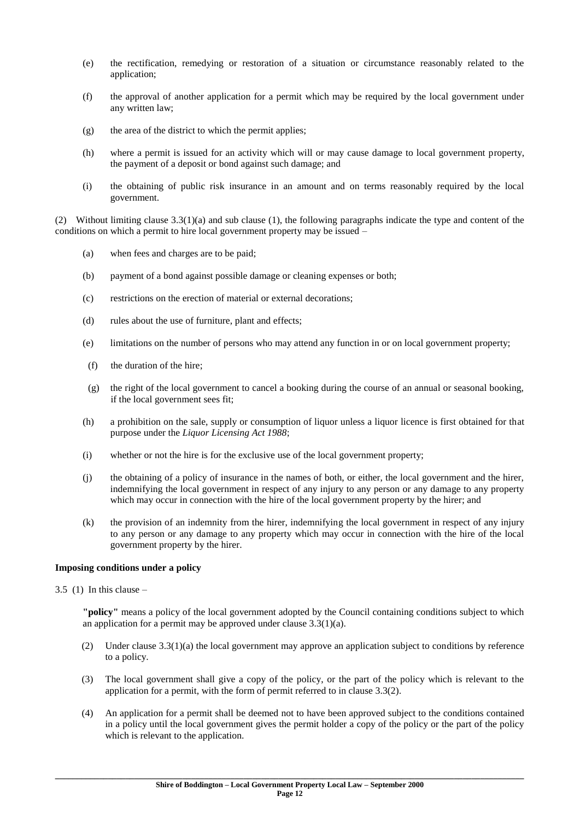- (e) the rectification, remedying or restoration of a situation or circumstance reasonably related to the application;
- (f) the approval of another application for a permit which may be required by the local government under any written law;
- (g) the area of the district to which the permit applies;
- (h) where a permit is issued for an activity which will or may cause damage to local government property, the payment of a deposit or bond against such damage; and
- (i) the obtaining of public risk insurance in an amount and on terms reasonably required by the local government.

(2) Without limiting clause  $3.3(1)(a)$  and sub clause (1), the following paragraphs indicate the type and content of the conditions on which a permit to hire local government property may be issued –

- (a) when fees and charges are to be paid;
- (b) payment of a bond against possible damage or cleaning expenses or both;
- (c) restrictions on the erection of material or external decorations;
- (d) rules about the use of furniture, plant and effects;
- (e) limitations on the number of persons who may attend any function in or on local government property;
- (f) the duration of the hire;
- (g) the right of the local government to cancel a booking during the course of an annual or seasonal booking, if the local government sees fit;
- (h) a prohibition on the sale, supply or consumption of liquor unless a liquor licence is first obtained for that purpose under the *Liquor Licensing Act 1988*;
- (i) whether or not the hire is for the exclusive use of the local government property;
- (j) the obtaining of a policy of insurance in the names of both, or either, the local government and the hirer, indemnifying the local government in respect of any injury to any person or any damage to any property which may occur in connection with the hire of the local government property by the hirer; and
- (k) the provision of an indemnity from the hirer, indemnifying the local government in respect of any injury to any person or any damage to any property which may occur in connection with the hire of the local government property by the hirer.

#### **Imposing conditions under a policy**

3.5 (1) In this clause  $-$ 

**"policy"** means a policy of the local government adopted by the Council containing conditions subject to which an application for a permit may be approved under clause  $3.3(1)(a)$ .

- (2) Under clause 3.3(1)(a) the local government may approve an application subject to conditions by reference to a policy.
- (3) The local government shall give a copy of the policy, or the part of the policy which is relevant to the application for a permit, with the form of permit referred to in clause 3.3(2).
- (4) An application for a permit shall be deemed not to have been approved subject to the conditions contained in a policy until the local government gives the permit holder a copy of the policy or the part of the policy which is relevant to the application.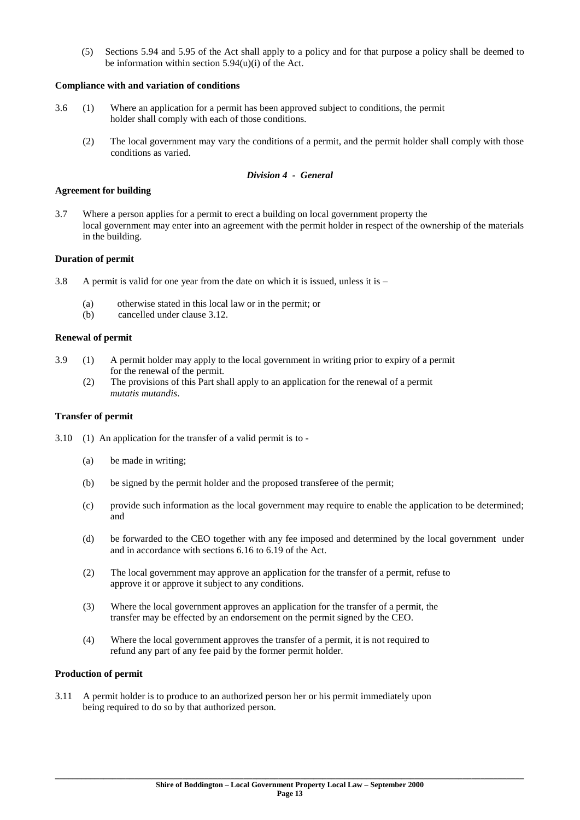(5) Sections 5.94 and 5.95 of the Act shall apply to a policy and for that purpose a policy shall be deemed to be information within section 5.94(u)(i) of the Act.

## **Compliance with and variation of conditions**

- 3.6 (1) Where an application for a permit has been approved subject to conditions, the permit holder shall comply with each of those conditions.
	- (2) The local government may vary the conditions of a permit, and the permit holder shall comply with those conditions as varied.

## *Division 4 - General*

#### **Agreement for building**

3.7 Where a person applies for a permit to erect a building on local government property the local government may enter into an agreement with the permit holder in respect of the ownership of the materials in the building.

#### **Duration of permit**

- 3.8 A permit is valid for one year from the date on which it is issued, unless it is
	- (a) otherwise stated in this local law or in the permit; or
	- (b) cancelled under clause 3.12.

#### **Renewal of permit**

- 3.9 (1) A permit holder may apply to the local government in writing prior to expiry of a permit for the renewal of the permit.
	- (2) The provisions of this Part shall apply to an application for the renewal of a permit *mutatis mutandis*.

#### **Transfer of permit**

- 3.10 (1) An application for the transfer of a valid permit is to
	- (a) be made in writing;
	- (b) be signed by the permit holder and the proposed transferee of the permit;
	- (c) provide such information as the local government may require to enable the application to be determined; and
	- (d) be forwarded to the CEO together with any fee imposed and determined by the local government under and in accordance with sections 6.16 to 6.19 of the Act.
	- (2) The local government may approve an application for the transfer of a permit, refuse to approve it or approve it subject to any conditions.
	- (3) Where the local government approves an application for the transfer of a permit, the transfer may be effected by an endorsement on the permit signed by the CEO.
	- (4) Where the local government approves the transfer of a permit, it is not required to refund any part of any fee paid by the former permit holder.

## **Production of permit**

3.11 A permit holder is to produce to an authorized person her or his permit immediately upon being required to do so by that authorized person.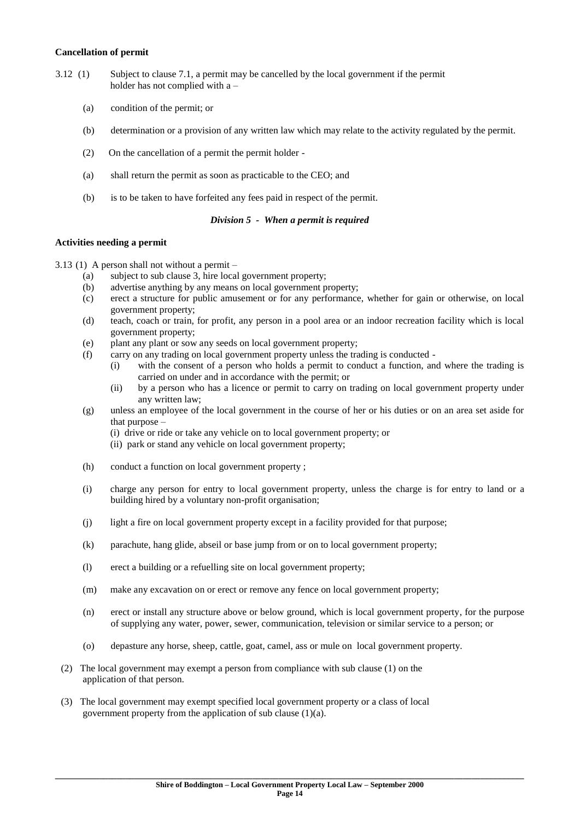#### **Cancellation of permit**

- 3.12 (1) Subject to clause 7.1, a permit may be cancelled by the local government if the permit holder has not complied with a –
	- (a) condition of the permit; or
	- (b) determination or a provision of any written law which may relate to the activity regulated by the permit.
	- (2) On the cancellation of a permit the permit holder -
	- (a) shall return the permit as soon as practicable to the CEO; and
	- (b) is to be taken to have forfeited any fees paid in respect of the permit.

## *Division 5 - When a permit is required*

## **Activities needing a permit**

3.13 (1) A person shall not without a permit –

- (a) subject to sub clause 3, hire local government property;
- (b) advertise anything by any means on local government property;
- (c) erect a structure for public amusement or for any performance, whether for gain or otherwise, on local government property;
- (d) teach, coach or train, for profit, any person in a pool area or an indoor recreation facility which is local government property;
- (e) plant any plant or sow any seeds on local government property;
- (f) carry on any trading on local government property unless the trading is conducted
	- (i) with the consent of a person who holds a permit to conduct a function, and where the trading is carried on under and in accordance with the permit; or
	- (ii) by a person who has a licence or permit to carry on trading on local government property under any written law;
- (g) unless an employee of the local government in the course of her or his duties or on an area set aside for that purpose –
	- (i) drive or ride or take any vehicle on to local government property; or
	- (ii) park or stand any vehicle on local government property;
- (h) conduct a function on local government property ;
- (i) charge any person for entry to local government property, unless the charge is for entry to land or a building hired by a voluntary non-profit organisation;
- (j) light a fire on local government property except in a facility provided for that purpose;
- (k) parachute, hang glide, abseil or base jump from or on to local government property;
- (l) erect a building or a refuelling site on local government property;
- (m) make any excavation on or erect or remove any fence on local government property;
- (n) erect or install any structure above or below ground, which is local government property, for the purpose of supplying any water, power, sewer, communication, television or similar service to a person; or
- (o) depasture any horse, sheep, cattle, goat, camel, ass or mule on local government property.
- (2) The local government may exempt a person from compliance with sub clause (1) on the application of that person.
- (3) The local government may exempt specified local government property or a class of local government property from the application of sub clause (1)(a).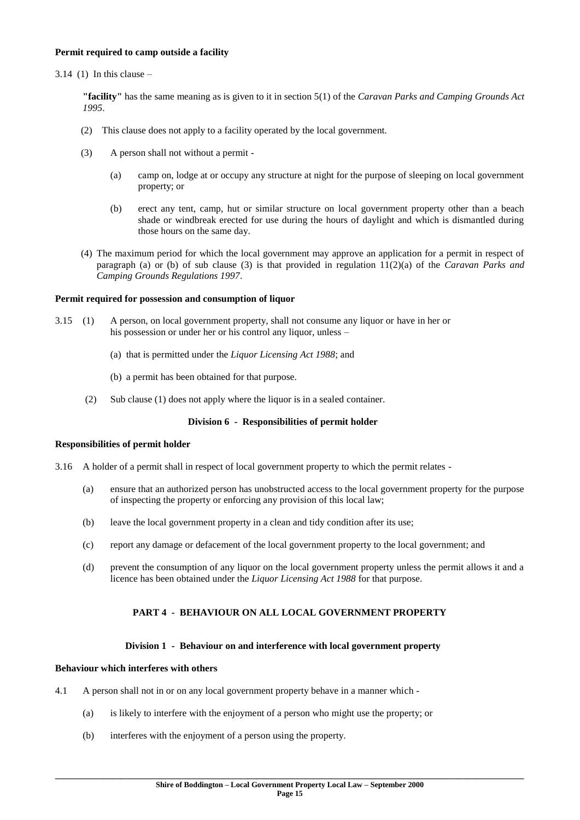## **Permit required to camp outside a facility**

#### $3.14$  (1) In this clause –

**"facility"** has the same meaning as is given to it in section 5(1) of the *Caravan Parks and Camping Grounds Act 1995*.

- (2) This clause does not apply to a facility operated by the local government.
- (3) A person shall not without a permit
	- (a) camp on, lodge at or occupy any structure at night for the purpose of sleeping on local government property; or
	- (b) erect any tent, camp, hut or similar structure on local government property other than a beach shade or windbreak erected for use during the hours of daylight and which is dismantled during those hours on the same day.
- (4) The maximum period for which the local government may approve an application for a permit in respect of paragraph (a) or (b) of sub clause (3) is that provided in regulation 11(2)(a) of the *Caravan Parks and Camping Grounds Regulations 1997*.

#### **Permit required for possession and consumption of liquor**

- 3.15 (1) A person, on local government property, shall not consume any liquor or have in her or his possession or under her or his control any liquor, unless –
	- (a) that is permitted under the *Liquor Licensing Act 1988*; and
	- (b) a permit has been obtained for that purpose.
	- (2) Sub clause (1) does not apply where the liquor is in a sealed container.

### **Division 6 - Responsibilities of permit holder**

#### **Responsibilities of permit holder**

- 3.16 A holder of a permit shall in respect of local government property to which the permit relates
	- (a) ensure that an authorized person has unobstructed access to the local government property for the purpose of inspecting the property or enforcing any provision of this local law;
	- (b) leave the local government property in a clean and tidy condition after its use;
	- (c) report any damage or defacement of the local government property to the local government; and
	- (d) prevent the consumption of any liquor on the local government property unless the permit allows it and a licence has been obtained under the *Liquor Licensing Act 1988* for that purpose.

## **PART 4 - BEHAVIOUR ON ALL LOCAL GOVERNMENT PROPERTY**

#### **Division 1 - Behaviour on and interference with local government property**

#### **Behaviour which interferes with others**

- 4.1 A person shall not in or on any local government property behave in a manner which
	- (a) is likely to interfere with the enjoyment of a person who might use the property; or
	- (b) interferes with the enjoyment of a person using the property.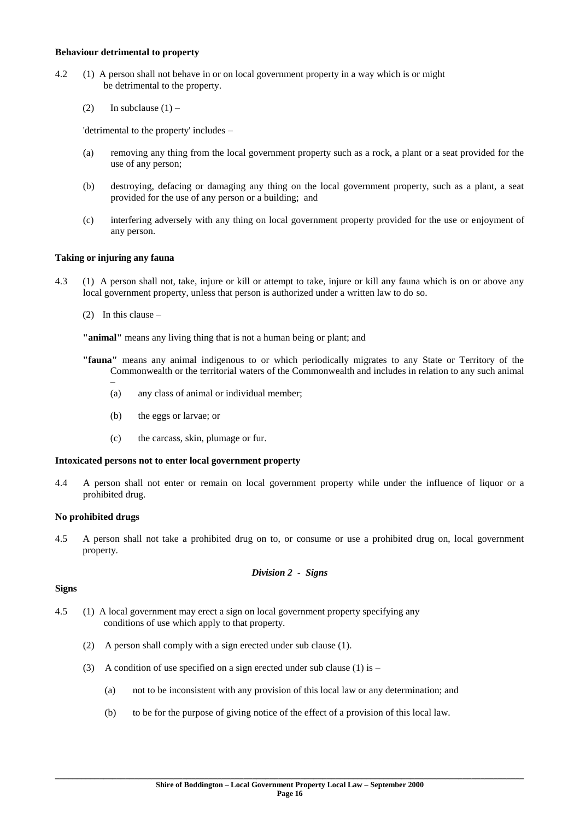#### **Behaviour detrimental to property**

- 4.2 (1) A person shall not behave in or on local government property in a way which is or might be detrimental to the property.
	- (2) In subclause  $(1)$  –

'detrimental to the property' includes –

- (a) removing any thing from the local government property such as a rock, a plant or a seat provided for the use of any person;
- (b) destroying, defacing or damaging any thing on the local government property, such as a plant, a seat provided for the use of any person or a building; and
- (c) interfering adversely with any thing on local government property provided for the use or enjoyment of any person.

## **Taking or injuring any fauna**

- 4.3 (1) A person shall not, take, injure or kill or attempt to take, injure or kill any fauna which is on or above any local government property, unless that person is authorized under a written law to do so.
	- (2) In this clause –

**"animal"** means any living thing that is not a human being or plant; and

- **"fauna"** means any animal indigenous to or which periodically migrates to any State or Territory of the Commonwealth or the territorial waters of the Commonwealth and includes in relation to any such animal
	- (a) any class of animal or individual member;
	- (b) the eggs or larvae; or
	- (c) the carcass, skin, plumage or fur.

## **Intoxicated persons not to enter local government property**

4.4 A person shall not enter or remain on local government property while under the influence of liquor or a prohibited drug.

## **No prohibited drugs**

4.5 A person shall not take a prohibited drug on to, or consume or use a prohibited drug on, local government property.

*Division 2 - Signs*

## **Signs**

- 4.5 (1) A local government may erect a sign on local government property specifying any conditions of use which apply to that property.
	- (2) A person shall comply with a sign erected under sub clause (1).
	- (3) A condition of use specified on a sign erected under sub clause (1) is
		- (a) not to be inconsistent with any provision of this local law or any determination; and
		- (b) to be for the purpose of giving notice of the effect of a provision of this local law.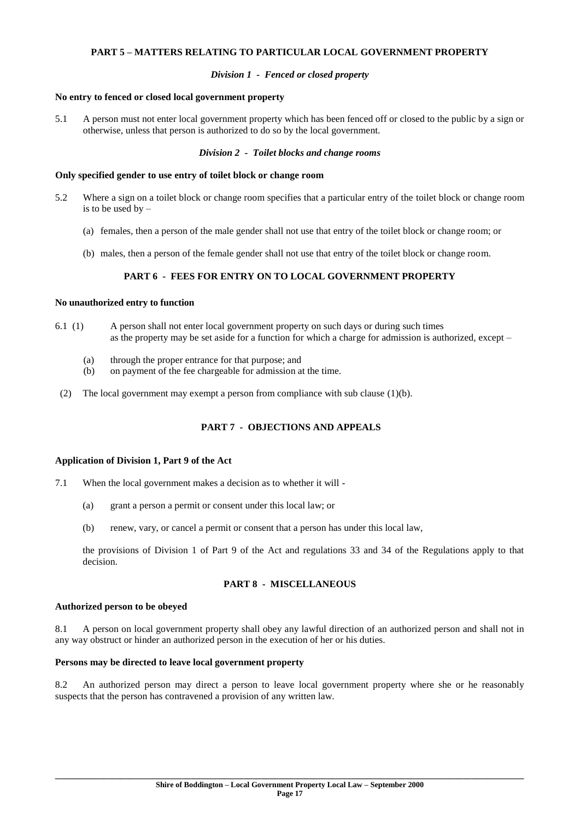#### **PART 5 – MATTERS RELATING TO PARTICULAR LOCAL GOVERNMENT PROPERTY**

### *Division 1 - Fenced or closed property*

#### **No entry to fenced or closed local government property**

5.1 A person must not enter local government property which has been fenced off or closed to the public by a sign or otherwise, unless that person is authorized to do so by the local government.

#### *Division 2 - Toilet blocks and change rooms*

#### **Only specified gender to use entry of toilet block or change room**

- 5.2 Where a sign on a toilet block or change room specifies that a particular entry of the toilet block or change room is to be used by –
	- (a) females, then a person of the male gender shall not use that entry of the toilet block or change room; or
	- (b) males, then a person of the female gender shall not use that entry of the toilet block or change room.

## **PART 6 - FEES FOR ENTRY ON TO LOCAL GOVERNMENT PROPERTY**

## **No unauthorized entry to function**

- 6.1 (1) A person shall not enter local government property on such days or during such times as the property may be set aside for a function for which a charge for admission is authorized, except –
	- (a) through the proper entrance for that purpose; and
	- (b) on payment of the fee chargeable for admission at the time.
	- (2) The local government may exempt a person from compliance with sub clause (1)(b).

## **PART 7 - OBJECTIONS AND APPEALS**

#### **Application of Division 1, Part 9 of the Act**

- 7.1 When the local government makes a decision as to whether it will
	- (a) grant a person a permit or consent under this local law; or
	- (b) renew, vary, or cancel a permit or consent that a person has under this local law,

the provisions of Division 1 of Part 9 of the Act and regulations 33 and 34 of the Regulations apply to that decision.

## **PART 8 - MISCELLANEOUS**

#### **Authorized person to be obeyed**

8.1 A person on local government property shall obey any lawful direction of an authorized person and shall not in any way obstruct or hinder an authorized person in the execution of her or his duties.

#### **Persons may be directed to leave local government property**

8.2 An authorized person may direct a person to leave local government property where she or he reasonably suspects that the person has contravened a provision of any written law.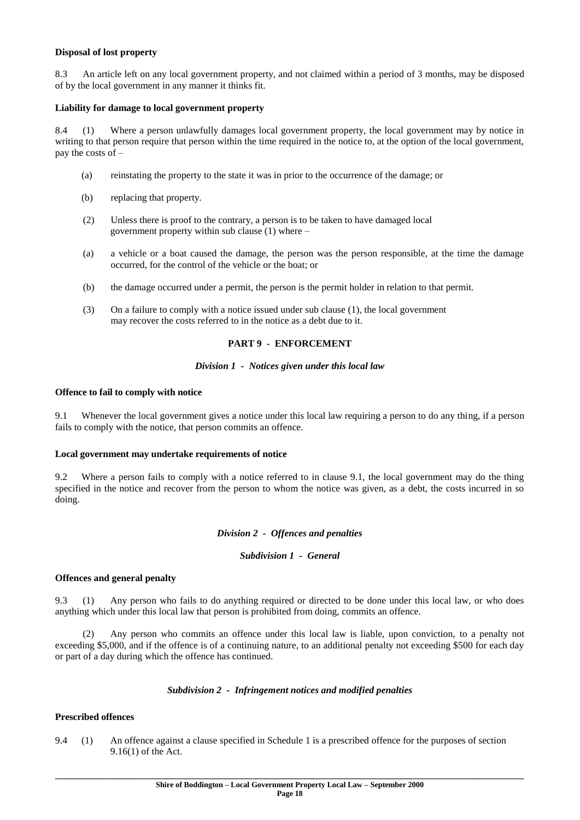#### **Disposal of lost property**

8.3 An article left on any local government property, and not claimed within a period of 3 months, may be disposed of by the local government in any manner it thinks fit.

### **Liability for damage to local government property**

8.4 (1) Where a person unlawfully damages local government property, the local government may by notice in writing to that person require that person within the time required in the notice to, at the option of the local government, pay the costs of –

- (a) reinstating the property to the state it was in prior to the occurrence of the damage; or
- (b) replacing that property.
- (2) Unless there is proof to the contrary, a person is to be taken to have damaged local government property within sub clause (1) where –
- (a) a vehicle or a boat caused the damage, the person was the person responsible, at the time the damage occurred, for the control of the vehicle or the boat; or
- (b) the damage occurred under a permit, the person is the permit holder in relation to that permit.
- (3) On a failure to comply with a notice issued under sub clause (1), the local government may recover the costs referred to in the notice as a debt due to it.

#### **PART 9 - ENFORCEMENT**

#### *Division 1 - Notices given under this local law*

#### **Offence to fail to comply with notice**

9.1 Whenever the local government gives a notice under this local law requiring a person to do any thing, if a person fails to comply with the notice, that person commits an offence.

#### **Local government may undertake requirements of notice**

9.2 Where a person fails to comply with a notice referred to in clause 9.1, the local government may do the thing specified in the notice and recover from the person to whom the notice was given, as a debt, the costs incurred in so doing.

#### *Division 2 - Offences and penalties*

#### *Subdivision 1 - General*

#### **Offences and general penalty**

9.3 (1) Any person who fails to do anything required or directed to be done under this local law, or who does anything which under this local law that person is prohibited from doing, commits an offence.

 (2) Any person who commits an offence under this local law is liable, upon conviction, to a penalty not exceeding \$5,000, and if the offence is of a continuing nature, to an additional penalty not exceeding \$500 for each day or part of a day during which the offence has continued.

#### *Subdivision 2 - Infringement notices and modified penalties*

#### **Prescribed offences**

9.4 (1) An offence against a clause specified in Schedule 1 is a prescribed offence for the purposes of section 9.16(1) of the Act.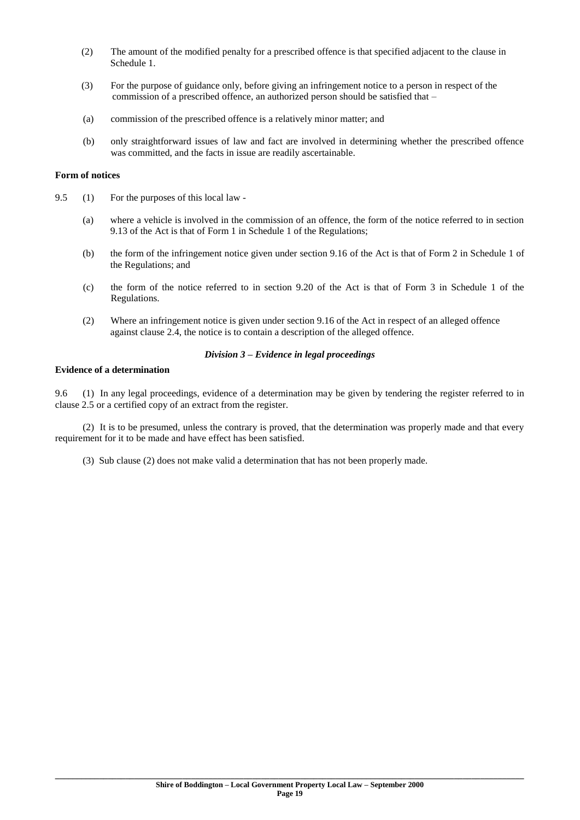- (2) The amount of the modified penalty for a prescribed offence is that specified adjacent to the clause in Schedule 1.
- (3) For the purpose of guidance only, before giving an infringement notice to a person in respect of the commission of a prescribed offence, an authorized person should be satisfied that –
- (a) commission of the prescribed offence is a relatively minor matter; and
- (b) only straightforward issues of law and fact are involved in determining whether the prescribed offence was committed, and the facts in issue are readily ascertainable.

#### **Form of notices**

- 9.5 (1) For the purposes of this local law
	- (a) where a vehicle is involved in the commission of an offence, the form of the notice referred to in section 9.13 of the Act is that of Form 1 in Schedule 1 of the Regulations;
	- (b) the form of the infringement notice given under section 9.16 of the Act is that of Form 2 in Schedule 1 of the Regulations; and
	- (c) the form of the notice referred to in section 9.20 of the Act is that of Form 3 in Schedule 1 of the Regulations.
	- (2) Where an infringement notice is given under section 9.16 of the Act in respect of an alleged offence against clause 2.4, the notice is to contain a description of the alleged offence.

#### *Division 3 – Evidence in legal proceedings*

## **Evidence of a determination**

9.6 (1) In any legal proceedings, evidence of a determination may be given by tendering the register referred to in clause 2.5 or a certified copy of an extract from the register.

 (2) It is to be presumed, unless the contrary is proved, that the determination was properly made and that every requirement for it to be made and have effect has been satisfied.

(3) Sub clause (2) does not make valid a determination that has not been properly made.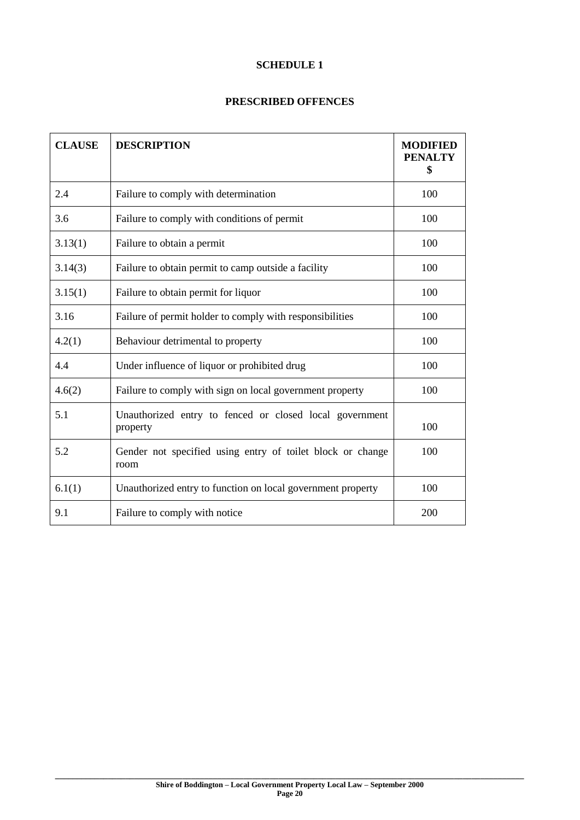## **SCHEDULE 1**

## **PRESCRIBED OFFENCES**

| <b>CLAUSE</b> | <b>DESCRIPTION</b>                                                  | <b>MODIFIED</b><br><b>PENALTY</b><br>\$ |
|---------------|---------------------------------------------------------------------|-----------------------------------------|
| 2.4           | Failure to comply with determination                                | 100                                     |
| 3.6           | Failure to comply with conditions of permit                         | 100                                     |
| 3.13(1)       | Failure to obtain a permit                                          | 100                                     |
| 3.14(3)       | Failure to obtain permit to camp outside a facility                 | 100                                     |
| 3.15(1)       | Failure to obtain permit for liquor                                 | 100                                     |
| 3.16          | Failure of permit holder to comply with responsibilities            | 100                                     |
| 4.2(1)        | Behaviour detrimental to property                                   | 100                                     |
| 4.4           | Under influence of liquor or prohibited drug                        | 100                                     |
| 4.6(2)        | Failure to comply with sign on local government property            | 100                                     |
| 5.1           | Unauthorized entry to fenced or closed local government<br>property | 100                                     |
| 5.2           | Gender not specified using entry of toilet block or change<br>room  | 100                                     |
| 6.1(1)        | Unauthorized entry to function on local government property         | 100                                     |
| 9.1           | Failure to comply with notice                                       | 200                                     |